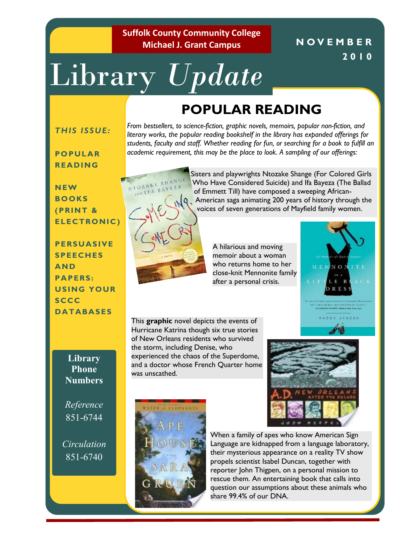**Suffolk County Community College Michael J. Grant Campus**

# Library *Update*

# **POPULAR READING**

#### *THIS ISSUE:*

**PO PULAR READING**

*From bestsellers, to science-fiction, graphic novels, memoirs, popular non-fiction, and literary works, the popular reading bookshelf in the library has expanded offerings for students, faculty and staff. Whether reading for fun, or searching for a book to fulfill an academic requirement, this may be the place to look. A sampling of our offerings:*



**(PRINT & ELEC TRONIC )**

**PERSUASIVE SPEECH ES AND PAPERS: USING YOUR SCCC DA TABAS ES**

> **Library Phone Numbers**

*Reference*  851-6744

*Circulation* 851-6740



of Emmett Till) have composed a sweeping African-American saga animating 200 years of history through the voices of seven generations of Mayfield family women.

A hilarious and moving memoir about a woman who returns home to her close-knit Mennonite family after a personal crisis.



**N O V E M B E R** 

**2010**

This **graphic** novel depicts the events of Hurricane Katrina though six true stories of New Orleans residents who survived the storm, including Denise, who experienced the chaos of the Superdome, and a doctor whose French Quarter home was unscathed.





When a family of apes who know American Sign Language are kidnapped from a language laboratory, their mysterious appearance on a reality TV show propels scientist Isabel Duncan, together with reporter John Thigpen, on a personal mission to rescue them. An entertaining book that calls into question our assumptions about these animals who share 99.4% of our DNA.